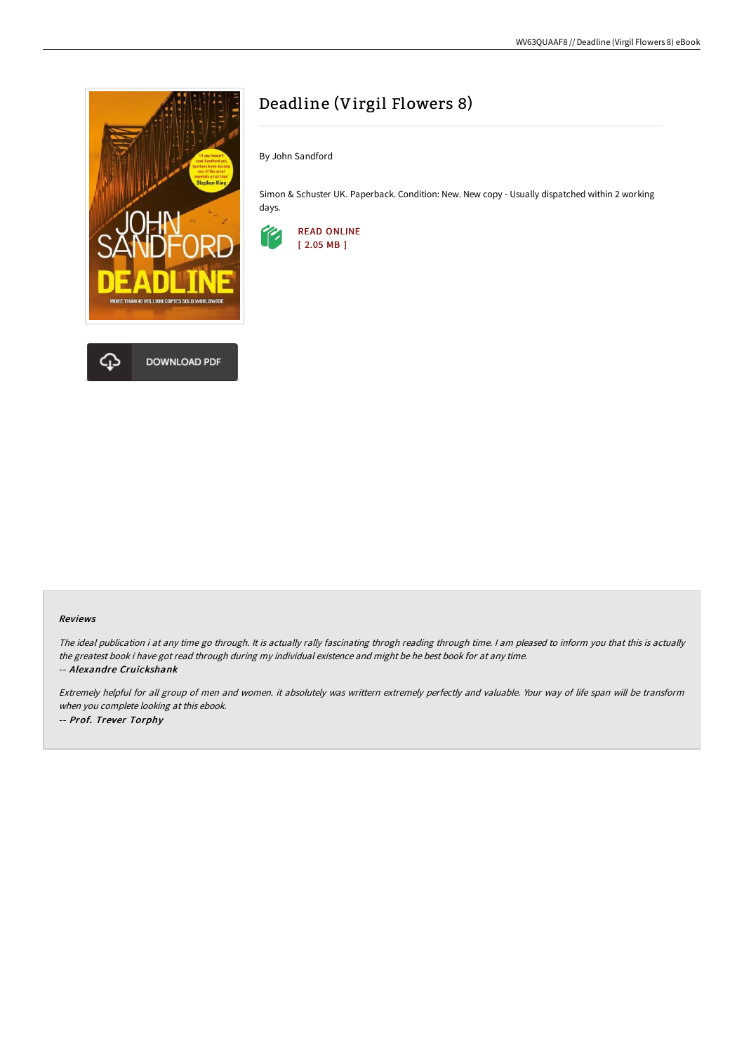

# Deadline (Virgil Flowers 8)

By John Sandford

Simon & Schuster UK. Paperback. Condition: New. New copy - Usually dispatched within 2 working days.



#### Reviews

The ideal publication i at any time go through. It is actually rally fascinating throgh reading through time. I am pleased to inform you that this is actually the greatest book i have got read through during my individual existence and might be he best book for at any time. -- Alexandre Cruickshank

Extremely helpful for all group of men and women. it absolutely was writtern extremely perfectly and valuable. Your way of life span will be transform when you complete looking at this ebook. -- Prof. Trever Torphy